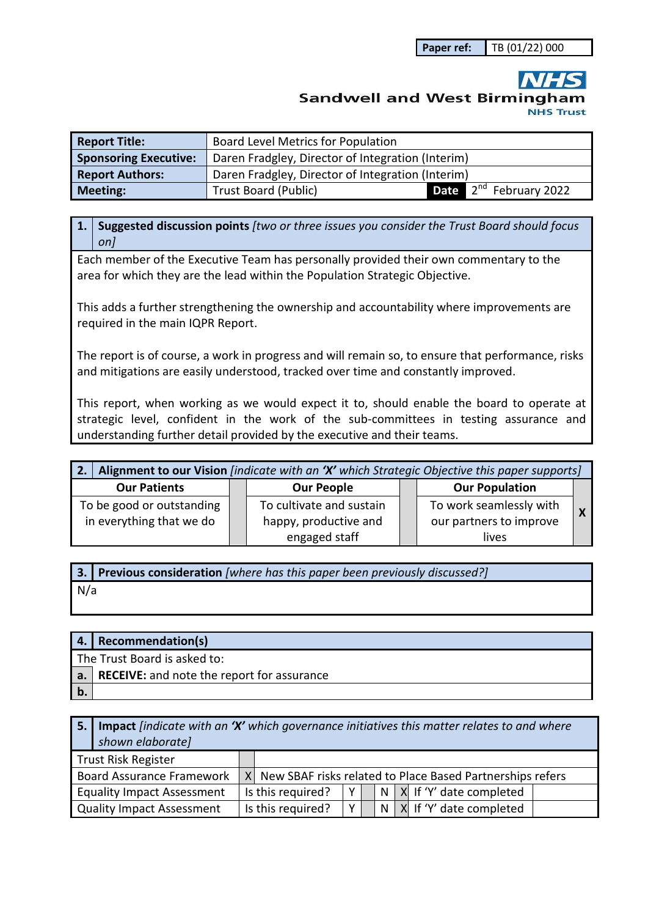**Paper ref:** TB (01/22) 000

## **Sandwell and West Birmingham NHS Trust**

| <b>Report Title:</b>         | <b>Board Level Metrics for Population</b>         |                                    |  |  |  |  |
|------------------------------|---------------------------------------------------|------------------------------------|--|--|--|--|
| <b>Sponsoring Executive:</b> | Daren Fradgley, Director of Integration (Interim) |                                    |  |  |  |  |
| <b>Report Authors:</b>       | Daren Fradgley, Director of Integration (Interim) |                                    |  |  |  |  |
| <b>Meeting:</b>              | <b>Trust Board (Public)</b>                       | Date 2 <sup>nd</sup> February 2022 |  |  |  |  |

**1. Suggested discussion points** *[two or three issues you consider the Trust Board should focus on]* 

Each member of the Executive Team has personally provided their own commentary to the area for which they are the lead within the Population Strategic Objective.

This adds a further strengthening the ownership and accountability where improvements are required in the main IQPR Report.

The report is of course, a work in progress and will remain so, to ensure that performance, risks and mitigations are easily understood, tracked over time and constantly improved.

This report, when working as we would expect it to, should enable the board to operate at strategic level, confident in the work of the sub-committees in testing assurance and understanding further detail provided by the executive and their teams.

| Alignment to our Vision [indicate with an 'X' which Strategic Objective this paper supports] |  |                          |  |                         |  |
|----------------------------------------------------------------------------------------------|--|--------------------------|--|-------------------------|--|
| <b>Our Patients</b>                                                                          |  | <b>Our People</b>        |  | <b>Our Population</b>   |  |
| To be good or outstanding                                                                    |  | To cultivate and sustain |  | To work seamlessly with |  |
| in everything that we do                                                                     |  | happy, productive and    |  | our partners to improve |  |
|                                                                                              |  | engaged staff            |  | lives                   |  |

**3. Previous consideration** *[where has this paper been previously discussed?]* N/a

| <b>4.</b>                    | <b>Recommendation(s)</b>                                      |  |  |
|------------------------------|---------------------------------------------------------------|--|--|
| The Trust Board is asked to: |                                                               |  |  |
|                              | $\vert$ a. $\vert$ RECEIVE: and note the report for assurance |  |  |
|                              |                                                               |  |  |

| 5.1 | <b>Impact</b> findicate with an 'X' which governance initiatives this matter relates to and where<br>shown elaborate] |  |                   |                |  |                                                             |
|-----|-----------------------------------------------------------------------------------------------------------------------|--|-------------------|----------------|--|-------------------------------------------------------------|
|     | Trust Risk Register                                                                                                   |  |                   |                |  |                                                             |
|     | <b>Board Assurance Framework</b>                                                                                      |  |                   |                |  | X New SBAF risks related to Place Based Partnerships refers |
|     | <b>Equality Impact Assessment</b>                                                                                     |  | Is this required? | Y I            |  | $ N X $ If 'Y' date completed                               |
|     | Quality Impact Assessment                                                                                             |  | Is this required? | Y <sub>1</sub> |  | N   X   If 'Y' date completed                               |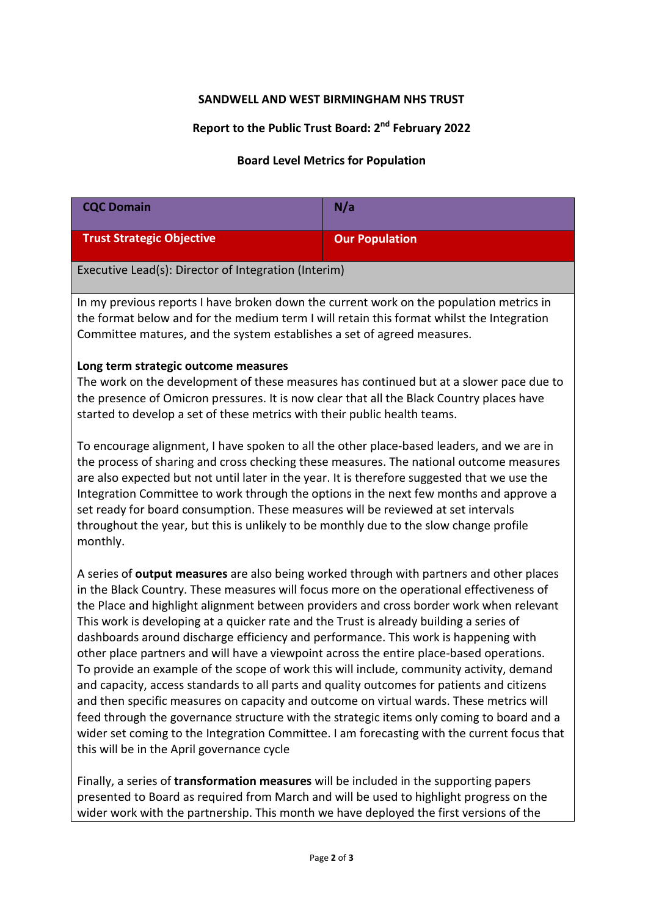## **SANDWELL AND WEST BIRMINGHAM NHS TRUST**

## **Report to the Public Trust Board: 2nd February 2022**

## **Board Level Metrics for Population**

| <b>CQC Domain</b>                                                                                                                                                                                                                                                                                                                                                                                                                                                                                                                                                                                                                                                                                                                                                                                                                                                                                                                                                                                                                                                                            | N/a                   |  |  |  |  |  |
|----------------------------------------------------------------------------------------------------------------------------------------------------------------------------------------------------------------------------------------------------------------------------------------------------------------------------------------------------------------------------------------------------------------------------------------------------------------------------------------------------------------------------------------------------------------------------------------------------------------------------------------------------------------------------------------------------------------------------------------------------------------------------------------------------------------------------------------------------------------------------------------------------------------------------------------------------------------------------------------------------------------------------------------------------------------------------------------------|-----------------------|--|--|--|--|--|
| <b>Trust Strategic Objective</b>                                                                                                                                                                                                                                                                                                                                                                                                                                                                                                                                                                                                                                                                                                                                                                                                                                                                                                                                                                                                                                                             | <b>Our Population</b> |  |  |  |  |  |
| Executive Lead(s): Director of Integration (Interim)                                                                                                                                                                                                                                                                                                                                                                                                                                                                                                                                                                                                                                                                                                                                                                                                                                                                                                                                                                                                                                         |                       |  |  |  |  |  |
| In my previous reports I have broken down the current work on the population metrics in<br>the format below and for the medium term I will retain this format whilst the Integration<br>Committee matures, and the system establishes a set of agreed measures.                                                                                                                                                                                                                                                                                                                                                                                                                                                                                                                                                                                                                                                                                                                                                                                                                              |                       |  |  |  |  |  |
| Long term strategic outcome measures<br>The work on the development of these measures has continued but at a slower pace due to<br>the presence of Omicron pressures. It is now clear that all the Black Country places have<br>started to develop a set of these metrics with their public health teams.                                                                                                                                                                                                                                                                                                                                                                                                                                                                                                                                                                                                                                                                                                                                                                                    |                       |  |  |  |  |  |
| To encourage alignment, I have spoken to all the other place-based leaders, and we are in<br>the process of sharing and cross checking these measures. The national outcome measures<br>are also expected but not until later in the year. It is therefore suggested that we use the<br>Integration Committee to work through the options in the next few months and approve a<br>set ready for board consumption. These measures will be reviewed at set intervals<br>throughout the year, but this is unlikely to be monthly due to the slow change profile<br>monthly.                                                                                                                                                                                                                                                                                                                                                                                                                                                                                                                    |                       |  |  |  |  |  |
| A series of output measures are also being worked through with partners and other places<br>in the Black Country. These measures will focus more on the operational effectiveness of<br>the Place and highlight alignment between providers and cross border work when relevant<br>This work is developing at a quicker rate and the Trust is already building a series of<br>dashboards around discharge efficiency and performance. This work is happening with<br>other place partners and will have a viewpoint across the entire place-based operations.<br>To provide an example of the scope of work this will include, community activity, demand<br>and capacity, access standards to all parts and quality outcomes for patients and citizens<br>and then specific measures on capacity and outcome on virtual wards. These metrics will<br>feed through the governance structure with the strategic items only coming to board and a<br>wider set coming to the Integration Committee. I am forecasting with the current focus that<br>this will be in the April governance cycle |                       |  |  |  |  |  |
|                                                                                                                                                                                                                                                                                                                                                                                                                                                                                                                                                                                                                                                                                                                                                                                                                                                                                                                                                                                                                                                                                              |                       |  |  |  |  |  |

Finally, a series of **transformation measures** will be included in the supporting papers presented to Board as required from March and will be used to highlight progress on the wider work with the partnership. This month we have deployed the first versions of the